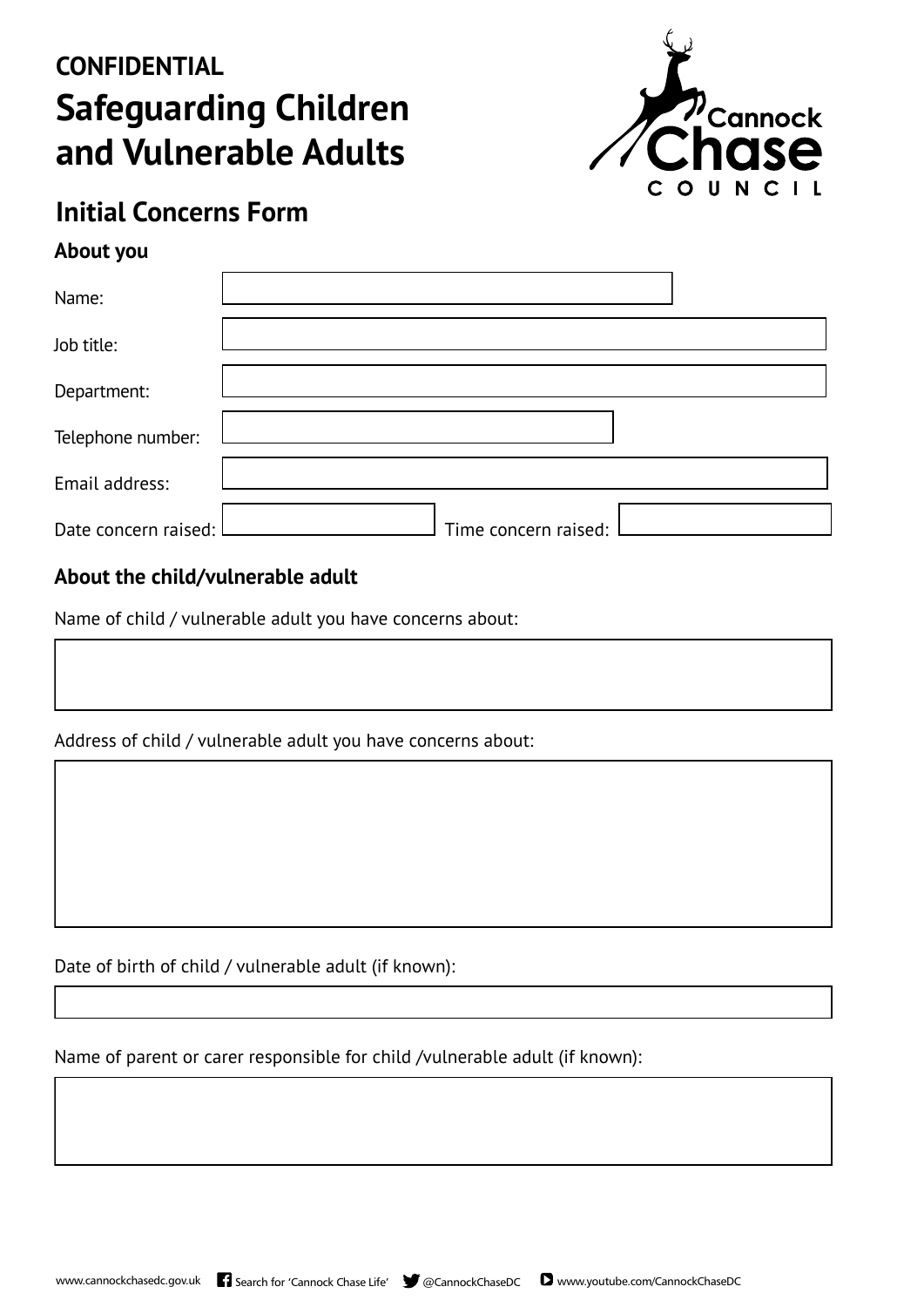# **CONFIDENTIAL Safeguarding Children and Vulnerable Adults**



### **Initial Concerns Form**

#### **About you**

| Name:                |                      |
|----------------------|----------------------|
| Job title:           |                      |
| Department:          |                      |
| Telephone number:    |                      |
| Email address:       |                      |
| Date concern raised: | Time concern raised: |

#### **About the child/vulnerable adult**

Name of child / vulnerable adult you have concerns about:

Address of child / vulnerable adult you have concerns about:

Date of birth of child / vulnerable adult (if known):

Name of parent or carer responsible for child /vulnerable adult (if known):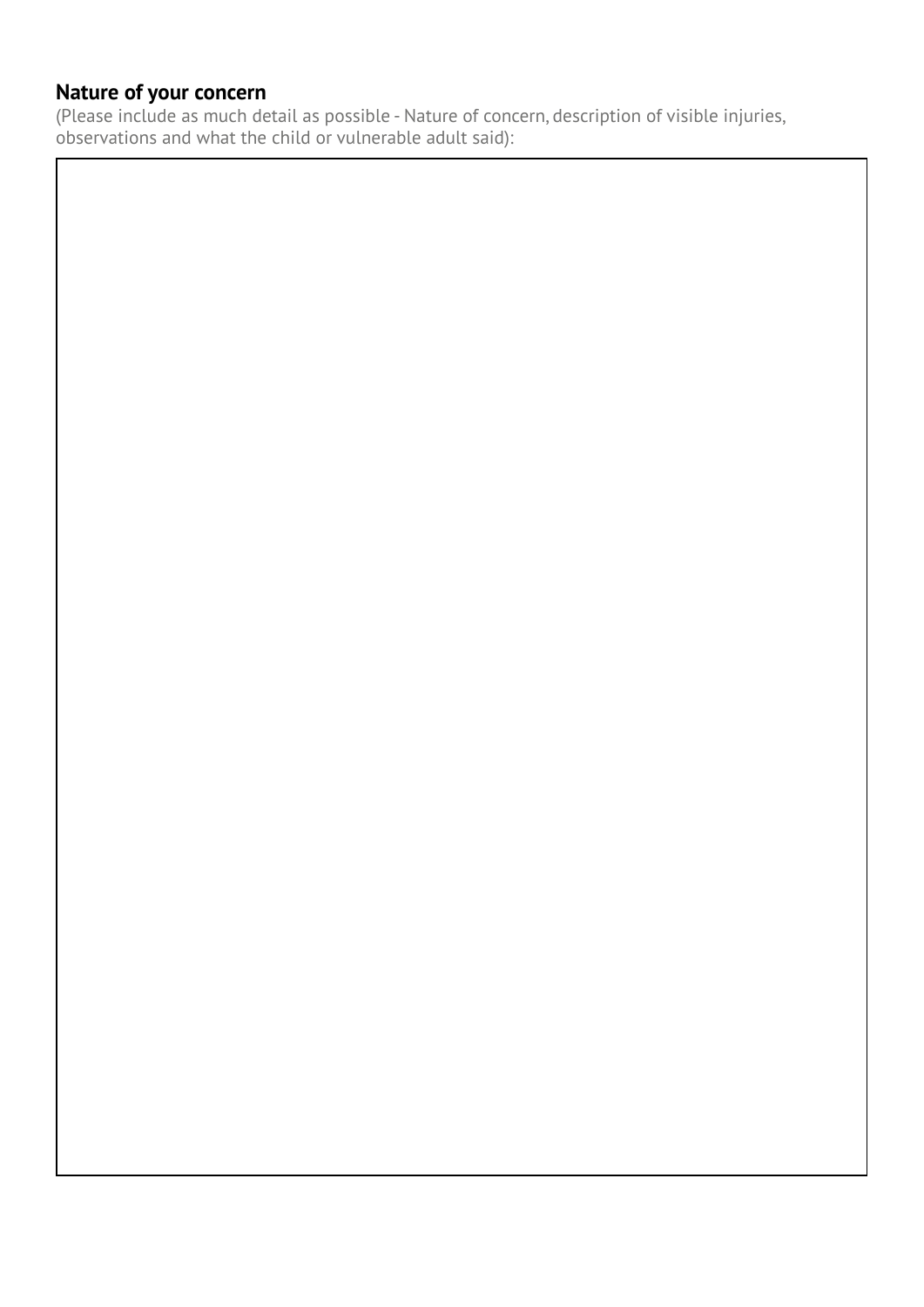#### **Nature of your concern**

(Please include as much detail as possible - Nature of concern, description of visible injuries, observations and what the child or vulnerable adult said):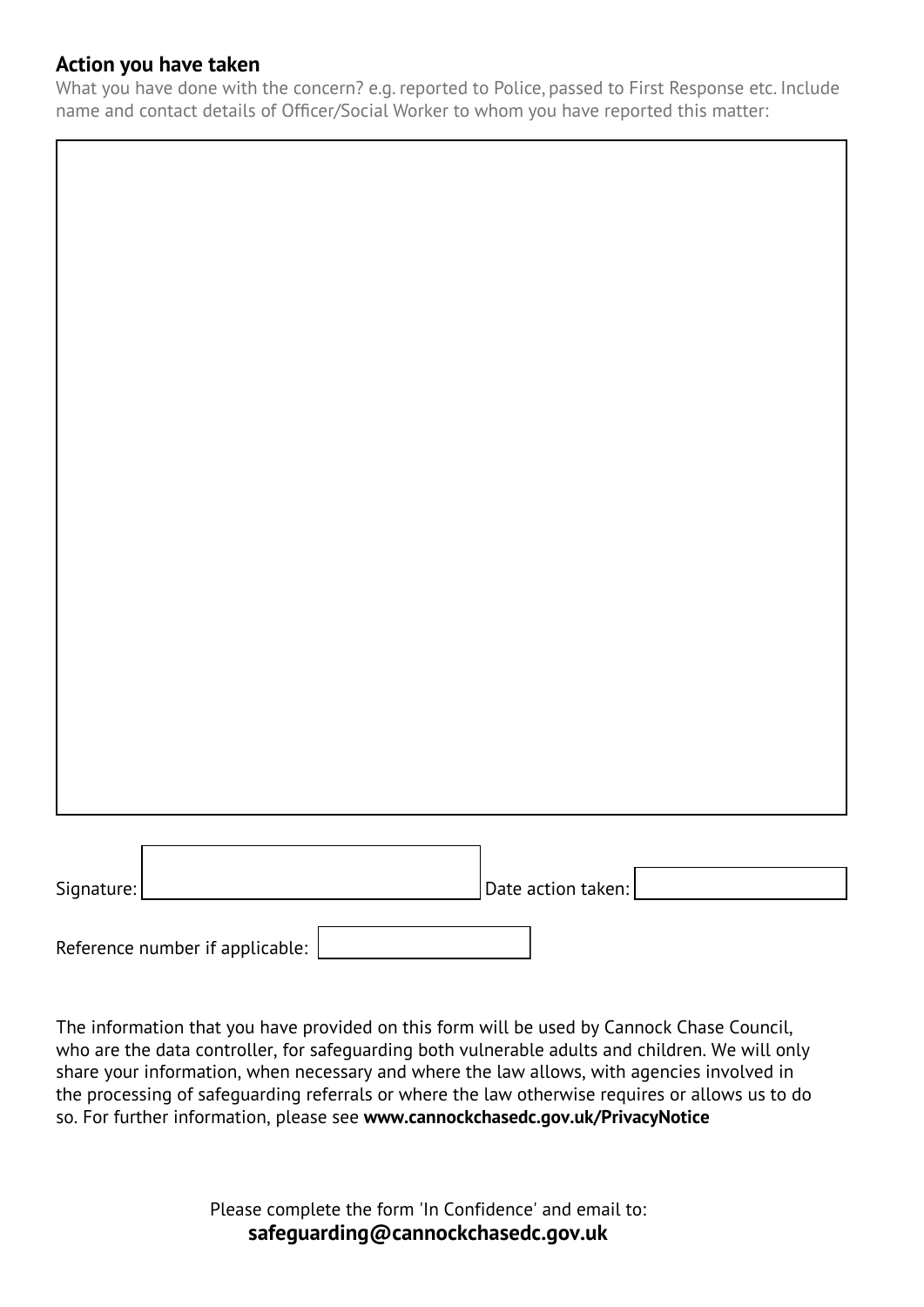#### **Action you have taken**

What you have done with the concern? e.g. reported to Police, passed to First Response etc. Include name and contact details of Officer/Social Worker to whom you have reported this matter:

| $ $ Date action taken: $ $<br>Signature: |
|------------------------------------------|

Reference number if applicable:

The information that you have provided on this form will be used by Cannock Chase Council, who are the data controller, for safeguarding both vulnerable adults and children. We will only share your information, when necessary and where the law allows, with agencies involved in the processing of safeguarding referrals or where the law otherwise requires or allows us to do so. For further information, please see www.cannockchasedc.gov.uk/PrivacyNotice

> Please complete the form 'In Confidence' and email to: **safeguarding@cannockchasedc.gov.uk**